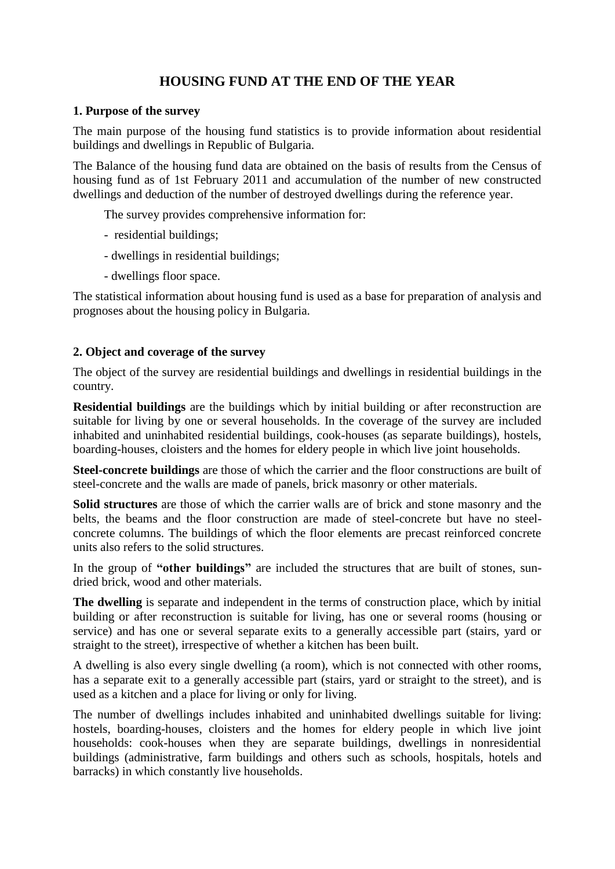# **HOUSING FUND AT THE END OF THE YEAR**

### **1. Purpose of the survey**

The main purpose of the housing fund statistics is to provide information about residential buildings and dwellings in Republic of Bulgaria.

The Balance of the housing fund data are obtained on the basis of results from the Census of housing fund as of 1st February 2011 and accumulation of the number of new constructed dwellings and deduction of the number of destroyed dwellings during the reference year.

The survey provides comprehensive information for:

- residential buildings;
- dwellings in residential buildings;
- dwellings floor space.

The statistical information about housing fund is used as a base for preparation of analysis and prognoses about the housing policy in Bulgaria.

## **2. Object and coverage of the survey**

The object of the survey are residential buildings and dwellings in residential buildings in the country.

**Residential buildings** are the buildings which by initial building or after reconstruction are suitable for living by one or several households. In the coverage of the survey are included inhabited and uninhabited residential buildings, cook-houses (as separate buildings), hostels, boarding-houses, cloisters and the homes for eldery people in which live joint households.

**Steel-concrete buildings** are those of which the carrier and the floor constructions are built of steel-concrete and the walls are made of panels, brick masonry or other materials.

**Solid structures** are those of which the carrier walls are of brick and stone masonry and the belts, the beams and the floor construction are made of steel-concrete but have no steelconcrete columns. The buildings of which the floor elements are precast reinforced concrete units also refers to the solid structures.

In the group of **"other buildings"** are included the structures that are built of stones, sundried brick, wood and other materials.

**The dwelling** is separate and independent in the terms of construction place, which by initial building or after reconstruction is suitable for living, has one or several rooms (housing or service) and has one or several separate exits to a generally accessible part (stairs, yard or straight to the street), irrespective of whether a kitchen has been built.

A dwelling is also every single dwelling (a room), which is not connected with other rooms, has a separate exit to a generally accessible part (stairs, yard or straight to the street), and is used as a kitchen and a place for living or only for living.

The number of dwellings includes inhabited and uninhabited dwellings suitable for living: hostels, boarding-houses, cloisters and the homes for eldery people in which live joint households: cook-houses when they are separate buildings, dwellings in nonresidential buildings (administrative, farm buildings and others such as schools, hospitals, hotels and barracks) in which constantly live households.